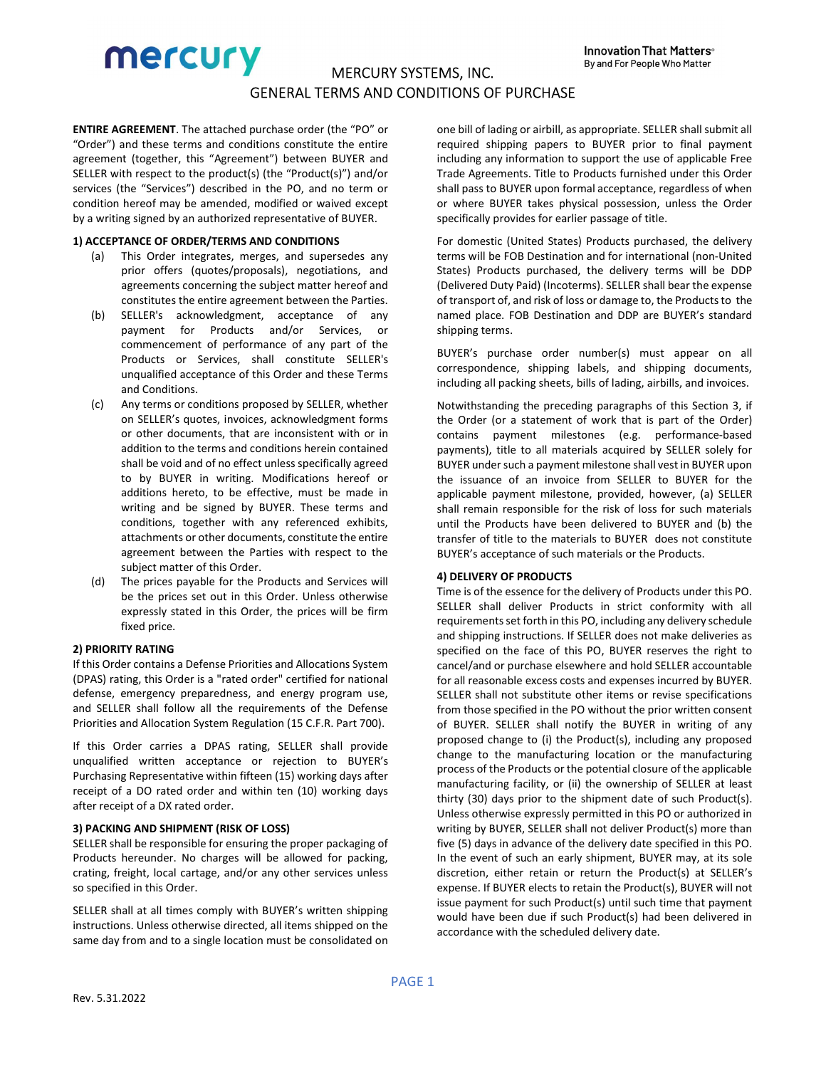ENTIRE AGREEMENT. The attached purchase order (the "PO" or "Order") and these terms and conditions constitute the entire agreement (together, this "Agreement") between BUYER and SELLER with respect to the product(s) (the "Product(s)") and/or services (the "Services") described in the PO, and no term or condition hereof may be amended, modified or waived except by a writing signed by an authorized representative of BUYER.

## 1) ACCEPTANCE OF ORDER/TERMS AND CONDITIONS

- (a) This Order integrates, merges, and supersedes any prior offers (quotes/proposals), negotiations, and agreements concerning the subject matter hereof and constitutes the entire agreement between the Parties.
- (b) SELLER's acknowledgment, acceptance of any payment for Products and/or Services, or commencement of performance of any part of the Products or Services, shall constitute SELLER's unqualified acceptance of this Order and these Terms and Conditions.
- (c) Any terms or conditions proposed by SELLER, whether on SELLER's quotes, invoices, acknowledgment forms or other documents, that are inconsistent with or in addition to the terms and conditions herein contained shall be void and of no effect unless specifically agreed to by BUYER in writing. Modifications hereof or additions hereto, to be effective, must be made in writing and be signed by BUYER. These terms and conditions, together with any referenced exhibits, attachments or other documents, constitute the entire agreement between the Parties with respect to the subject matter of this Order.
- (d) The prices payable for the Products and Services will be the prices set out in this Order. Unless otherwise expressly stated in this Order, the prices will be firm fixed price.

# 2) PRIORITY RATING

If this Order contains a Defense Priorities and Allocations System (DPAS) rating, this Order is a "rated order" certified for national defense, emergency preparedness, and energy program use, and SELLER shall follow all the requirements of the Defense Priorities and Allocation System Regulation (15 C.F.R. Part 700).

If this Order carries a DPAS rating, SELLER shall provide unqualified written acceptance or rejection to BUYER's Purchasing Representative within fifteen (15) working days after receipt of a DO rated order and within ten (10) working days after receipt of a DX rated order.

# 3) PACKING AND SHIPMENT (RISK OF LOSS)

SELLER shall be responsible for ensuring the proper packaging of Products hereunder. No charges will be allowed for packing, crating, freight, local cartage, and/or any other services unless so specified in this Order.

SELLER shall at all times comply with BUYER's written shipping instructions. Unless otherwise directed, all items shipped on the same day from and to a single location must be consolidated on one bill of lading or airbill, as appropriate. SELLER shall submit all required shipping papers to BUYER prior to final payment including any information to support the use of applicable Free Trade Agreements. Title to Products furnished under this Order shall pass to BUYER upon formal acceptance, regardless of when or where BUYER takes physical possession, unless the Order specifically provides for earlier passage of title.

For domestic (United States) Products purchased, the delivery terms will be FOB Destination and for international (non-United States) Products purchased, the delivery terms will be DDP (Delivered Duty Paid) (Incoterms). SELLER shall bear the expense of transport of, and risk of loss or damage to, the Products to the named place. FOB Destination and DDP are BUYER's standard shipping terms.

BUYER's purchase order number(s) must appear on all correspondence, shipping labels, and shipping documents, including all packing sheets, bills of lading, airbills, and invoices.

Notwithstanding the preceding paragraphs of this Section 3, if the Order (or a statement of work that is part of the Order) contains payment milestones (e.g. performance-based payments), title to all materials acquired by SELLER solely for BUYER under such a payment milestone shall vest in BUYER upon the issuance of an invoice from SELLER to BUYER for the applicable payment milestone, provided, however, (a) SELLER shall remain responsible for the risk of loss for such materials until the Products have been delivered to BUYER and (b) the transfer of title to the materials to BUYER does not constitute BUYER's acceptance of such materials or the Products.

## 4) DELIVERY OF PRODUCTS

Time is of the essence for the delivery of Products under this PO. SELLER shall deliver Products in strict conformity with all requirements set forth in this PO, including any delivery schedule and shipping instructions. If SELLER does not make deliveries as specified on the face of this PO, BUYER reserves the right to cancel/and or purchase elsewhere and hold SELLER accountable for all reasonable excess costs and expenses incurred by BUYER. SELLER shall not substitute other items or revise specifications from those specified in the PO without the prior written consent of BUYER. SELLER shall notify the BUYER in writing of any proposed change to (i) the Product(s), including any proposed change to the manufacturing location or the manufacturing process of the Products or the potential closure of the applicable manufacturing facility, or (ii) the ownership of SELLER at least thirty (30) days prior to the shipment date of such Product(s). Unless otherwise expressly permitted in this PO or authorized in writing by BUYER, SELLER shall not deliver Product(s) more than five (5) days in advance of the delivery date specified in this PO. In the event of such an early shipment, BUYER may, at its sole discretion, either retain or return the Product(s) at SELLER's expense. If BUYER elects to retain the Product(s), BUYER will not issue payment for such Product(s) until such time that payment would have been due if such Product(s) had been delivered in accordance with the scheduled delivery date.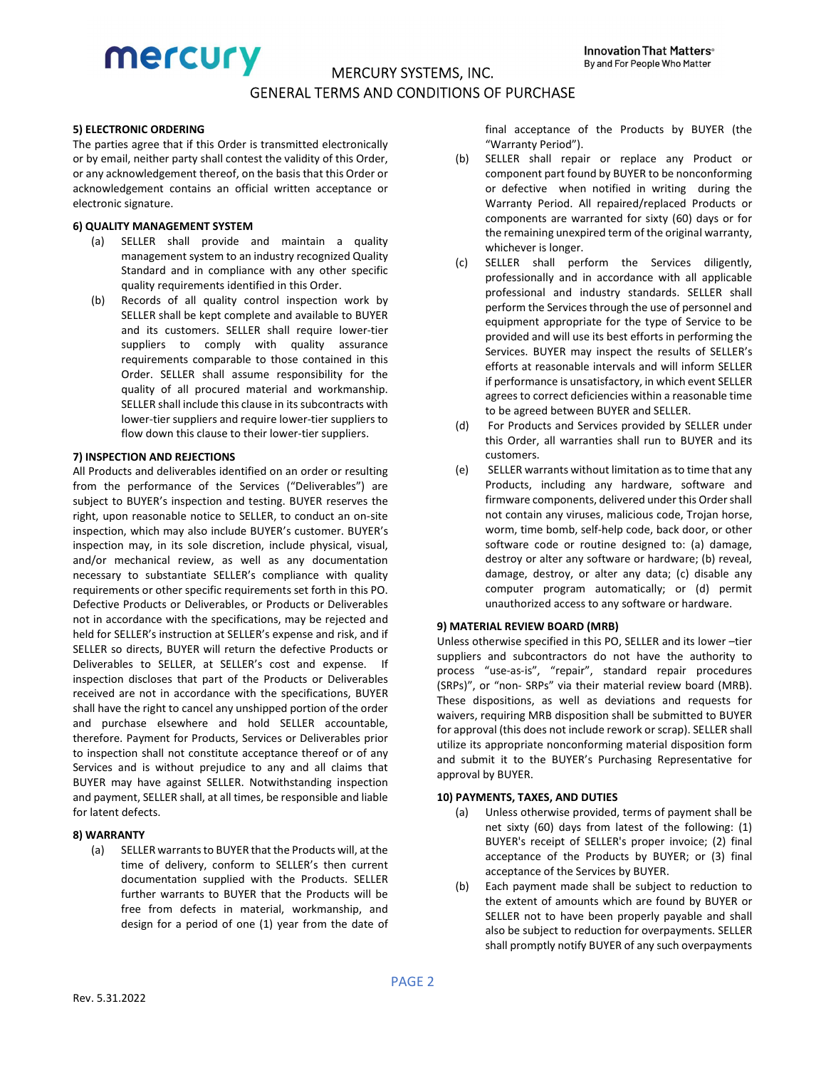# mercury

# MERCURY SYSTEMS, INC. GENERAL TERMS AND CONDITIONS OF PURCHASE

## 5) ELECTRONIC ORDERING

The parties agree that if this Order is transmitted electronically or by email, neither party shall contest the validity of this Order, or any acknowledgement thereof, on the basis that this Order or acknowledgement contains an official written acceptance or electronic signature.

## 6) QUALITY MANAGEMENT SYSTEM

- (a) SELLER shall provide and maintain a quality management system to an industry recognized Quality Standard and in compliance with any other specific quality requirements identified in this Order.
- (b) Records of all quality control inspection work by SELLER shall be kept complete and available to BUYER and its customers. SELLER shall require lower-tier suppliers to comply with quality assurance requirements comparable to those contained in this Order. SELLER shall assume responsibility for the quality of all procured material and workmanship. SELLER shall include this clause in its subcontracts with lower-tier suppliers and require lower-tier suppliers to flow down this clause to their lower-tier suppliers.

## 7) INSPECTION AND REJECTIONS

All Products and deliverables identified on an order or resulting from the performance of the Services ("Deliverables") are subject to BUYER's inspection and testing. BUYER reserves the right, upon reasonable notice to SELLER, to conduct an on-site inspection, which may also include BUYER's customer. BUYER's inspection may, in its sole discretion, include physical, visual, and/or mechanical review, as well as any documentation necessary to substantiate SELLER's compliance with quality requirements or other specific requirements set forth in this PO. Defective Products or Deliverables, or Products or Deliverables not in accordance with the specifications, may be rejected and held for SELLER's instruction at SELLER's expense and risk, and if SELLER so directs, BUYER will return the defective Products or Deliverables to SELLER, at SELLER's cost and expense. If inspection discloses that part of the Products or Deliverables received are not in accordance with the specifications, BUYER shall have the right to cancel any unshipped portion of the order and purchase elsewhere and hold SELLER accountable, therefore. Payment for Products, Services or Deliverables prior to inspection shall not constitute acceptance thereof or of any Services and is without prejudice to any and all claims that BUYER may have against SELLER. Notwithstanding inspection and payment, SELLER shall, at all times, be responsible and liable for latent defects.

# 8) WARRANTY

(a) SELLER warrants to BUYER that the Products will, at the time of delivery, conform to SELLER's then current documentation supplied with the Products. SELLER further warrants to BUYER that the Products will be free from defects in material, workmanship, and design for a period of one (1) year from the date of final acceptance of the Products by BUYER (the "Warranty Period").

- (b) SELLER shall repair or replace any Product or component part found by BUYER to be nonconforming or defective when notified in writing during the Warranty Period. All repaired/replaced Products or components are warranted for sixty (60) days or for the remaining unexpired term of the original warranty, whichever is longer.
- (c) SELLER shall perform the Services diligently, professionally and in accordance with all applicable professional and industry standards. SELLER shall perform the Services through the use of personnel and equipment appropriate for the type of Service to be provided and will use its best efforts in performing the Services. BUYER may inspect the results of SELLER's efforts at reasonable intervals and will inform SELLER if performance is unsatisfactory, in which event SELLER agrees to correct deficiencies within a reasonable time to be agreed between BUYER and SELLER.
- (d) For Products and Services provided by SELLER under this Order, all warranties shall run to BUYER and its customers.
- (e) SELLER warrants without limitation as to time that any Products, including any hardware, software and firmware components, delivered under this Order shall not contain any viruses, malicious code, Trojan horse, worm, time bomb, self-help code, back door, or other software code or routine designed to: (a) damage, destroy or alter any software or hardware; (b) reveal, damage, destroy, or alter any data; (c) disable any computer program automatically; or (d) permit unauthorized access to any software or hardware.

#### 9) MATERIAL REVIEW BOARD (MRB)

Unless otherwise specified in this PO, SELLER and its lower –tier suppliers and subcontractors do not have the authority to process "use-as-is", "repair", standard repair procedures (SRPs)", or "non- SRPs" via their material review board (MRB). These dispositions, as well as deviations and requests for waivers, requiring MRB disposition shall be submitted to BUYER for approval (this does not include rework or scrap). SELLER shall utilize its appropriate nonconforming material disposition form and submit it to the BUYER's Purchasing Representative for approval by BUYER.

#### 10) PAYMENTS, TAXES, AND DUTIES

- (a) Unless otherwise provided, terms of payment shall be net sixty (60) days from latest of the following: (1) BUYER's receipt of SELLER's proper invoice; (2) final acceptance of the Products by BUYER; or (3) final acceptance of the Services by BUYER.
- (b) Each payment made shall be subject to reduction to the extent of amounts which are found by BUYER or SELLER not to have been properly payable and shall also be subject to reduction for overpayments. SELLER shall promptly notify BUYER of any such overpayments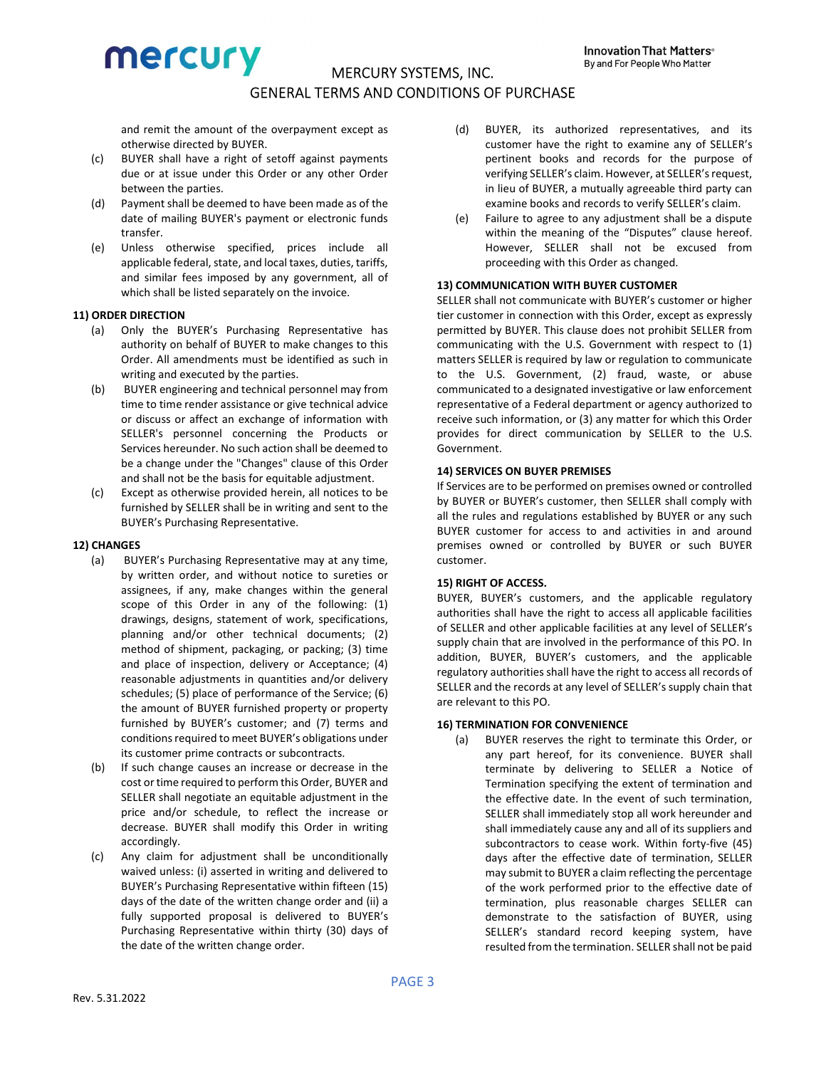and remit the amount of the overpayment except as otherwise directed by BUYER.

- (c) BUYER shall have a right of setoff against payments due or at issue under this Order or any other Order between the parties.
- (d) Payment shall be deemed to have been made as of the date of mailing BUYER's payment or electronic funds transfer.
- (e) Unless otherwise specified, prices include all applicable federal, state, and local taxes, duties, tariffs, and similar fees imposed by any government, all of which shall be listed separately on the invoice.

# 11) ORDER DIRECTION

- (a) Only the BUYER's Purchasing Representative has authority on behalf of BUYER to make changes to this Order. All amendments must be identified as such in writing and executed by the parties.
- (b) BUYER engineering and technical personnel may from time to time render assistance or give technical advice or discuss or affect an exchange of information with SELLER's personnel concerning the Products or Services hereunder. No such action shall be deemed to be a change under the "Changes" clause of this Order and shall not be the basis for equitable adjustment.
- (c) Except as otherwise provided herein, all notices to be furnished by SELLER shall be in writing and sent to the BUYER's Purchasing Representative.

# 12) CHANGES

- (a) BUYER's Purchasing Representative may at any time, by written order, and without notice to sureties or assignees, if any, make changes within the general scope of this Order in any of the following: (1) drawings, designs, statement of work, specifications, planning and/or other technical documents; (2) method of shipment, packaging, or packing; (3) time and place of inspection, delivery or Acceptance; (4) reasonable adjustments in quantities and/or delivery schedules; (5) place of performance of the Service; (6) the amount of BUYER furnished property or property furnished by BUYER's customer; and (7) terms and conditions required to meet BUYER's obligations under its customer prime contracts or subcontracts.
- (b) If such change causes an increase or decrease in the cost or time required to perform this Order, BUYER and SELLER shall negotiate an equitable adjustment in the price and/or schedule, to reflect the increase or decrease. BUYER shall modify this Order in writing accordingly.
- (c) Any claim for adjustment shall be unconditionally waived unless: (i) asserted in writing and delivered to BUYER's Purchasing Representative within fifteen (15) days of the date of the written change order and (ii) a fully supported proposal is delivered to BUYER's Purchasing Representative within thirty (30) days of the date of the written change order.
- (d) BUYER, its authorized representatives, and its customer have the right to examine any of SELLER's pertinent books and records for the purpose of verifying SELLER's claim. However, at SELLER's request, in lieu of BUYER, a mutually agreeable third party can examine books and records to verify SELLER's claim.
- (e) Failure to agree to any adjustment shall be a dispute within the meaning of the "Disputes" clause hereof. However, SELLER shall not be excused from proceeding with this Order as changed.

# 13) COMMUNICATION WITH BUYER CUSTOMER

SELLER shall not communicate with BUYER's customer or higher tier customer in connection with this Order, except as expressly permitted by BUYER. This clause does not prohibit SELLER from communicating with the U.S. Government with respect to (1) matters SELLER is required by law or regulation to communicate to the U.S. Government, (2) fraud, waste, or abuse communicated to a designated investigative or law enforcement representative of a Federal department or agency authorized to receive such information, or (3) any matter for which this Order provides for direct communication by SELLER to the U.S. Government.

#### 14) SERVICES ON BUYER PREMISES

If Services are to be performed on premises owned or controlled by BUYER or BUYER's customer, then SELLER shall comply with all the rules and regulations established by BUYER or any such BUYER customer for access to and activities in and around premises owned or controlled by BUYER or such BUYER customer.

## 15) RIGHT OF ACCESS.

BUYER, BUYER's customers, and the applicable regulatory authorities shall have the right to access all applicable facilities of SELLER and other applicable facilities at any level of SELLER's supply chain that are involved in the performance of this PO. In addition, BUYER, BUYER's customers, and the applicable regulatory authorities shall have the right to access all records of SELLER and the records at any level of SELLER's supply chain that are relevant to this PO.

# 16) TERMINATION FOR CONVENIENCE

(a) BUYER reserves the right to terminate this Order, or any part hereof, for its convenience. BUYER shall terminate by delivering to SELLER a Notice of Termination specifying the extent of termination and the effective date. In the event of such termination, SELLER shall immediately stop all work hereunder and shall immediately cause any and all of its suppliers and subcontractors to cease work. Within forty-five (45) days after the effective date of termination, SELLER may submit to BUYER a claim reflecting the percentage of the work performed prior to the effective date of termination, plus reasonable charges SELLER can demonstrate to the satisfaction of BUYER, using SELLER's standard record keeping system, have resulted from the termination. SELLER shall not be paid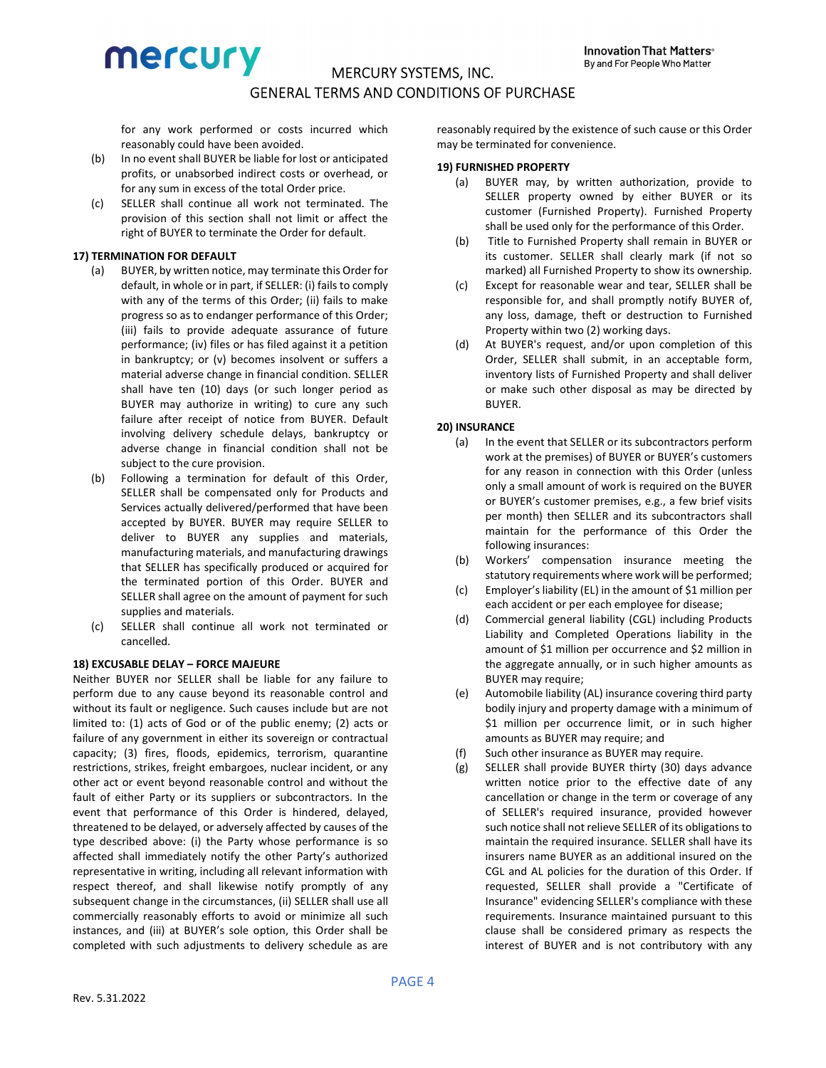for any work performed or costs incurred which reasonably could have been avoided.

- (b) In no event shall BUYER be liable for lost or anticipated profits, or unabsorbed indirect costs or overhead, or for any sum in excess of the total Order price.
- (c) SELLER shall continue all work not terminated. The provision of this section shall not limit or affect the right of BUYER to terminate the Order for default.

# 17) TERMINATION FOR DEFAULT

- (a) BUYER, by written notice, may terminate this Order for default, in whole or in part, if SELLER: (i) fails to comply with any of the terms of this Order; (ii) fails to make progress so as to endanger performance of this Order; (iii) fails to provide adequate assurance of future performance; (iv) files or has filed against it a petition in bankruptcy; or (v) becomes insolvent or suffers a material adverse change in financial condition. SELLER shall have ten (10) days (or such longer period as BUYER may authorize in writing) to cure any such failure after receipt of notice from BUYER. Default involving delivery schedule delays, bankruptcy or adverse change in financial condition shall not be subject to the cure provision.
- (b) Following a termination for default of this Order, SELLER shall be compensated only for Products and Services actually delivered/performed that have been accepted by BUYER. BUYER may require SELLER to deliver to BUYER any supplies and materials, manufacturing materials, and manufacturing drawings that SELLER has specifically produced or acquired for the terminated portion of this Order. BUYER and SELLER shall agree on the amount of payment for such supplies and materials.
- (c) SELLER shall continue all work not terminated or cancelled.

# 18) EXCUSABLE DELAY – FORCE MAJEURE

Neither BUYER nor SELLER shall be liable for any failure to perform due to any cause beyond its reasonable control and without its fault or negligence. Such causes include but are not limited to: (1) acts of God or of the public enemy; (2) acts or failure of any government in either its sovereign or contractual capacity; (3) fires, floods, epidemics, terrorism, quarantine restrictions, strikes, freight embargoes, nuclear incident, or any other act or event beyond reasonable control and without the fault of either Party or its suppliers or subcontractors. In the event that performance of this Order is hindered, delayed, threatened to be delayed, or adversely affected by causes of the type described above: (i) the Party whose performance is so affected shall immediately notify the other Party's authorized representative in writing, including all relevant information with respect thereof, and shall likewise notify promptly of any subsequent change in the circumstances, (ii) SELLER shall use all commercially reasonably efforts to avoid or minimize all such instances, and (iii) at BUYER's sole option, this Order shall be completed with such adjustments to delivery schedule as are

reasonably required by the existence of such cause or this Order may be terminated for convenience.

## 19) FURNISHED PROPERTY

- (a) BUYER may, by written authorization, provide to SELLER property owned by either BUYER or its customer (Furnished Property). Furnished Property shall be used only for the performance of this Order.
- (b) Title to Furnished Property shall remain in BUYER or its customer. SELLER shall clearly mark (if not so marked) all Furnished Property to show its ownership.
- (c) Except for reasonable wear and tear, SELLER shall be responsible for, and shall promptly notify BUYER of, any loss, damage, theft or destruction to Furnished Property within two (2) working days.
- (d) At BUYER's request, and/or upon completion of this Order, SELLER shall submit, in an acceptable form, inventory lists of Furnished Property and shall deliver or make such other disposal as may be directed by BUYER.

# 20) INSURANCE

- (a) In the event that SELLER or its subcontractors perform work at the premises) of BUYER or BUYER's customers for any reason in connection with this Order (unless only a small amount of work is required on the BUYER or BUYER's customer premises, e.g., a few brief visits per month) then SELLER and its subcontractors shall maintain for the performance of this Order the following insurances:
- (b) Workers' compensation insurance meeting the statutory requirements where work will be performed;
- (c) Employer's liability (EL) in the amount of \$1 million per each accident or per each employee for disease;
- (d) Commercial general liability (CGL) including Products Liability and Completed Operations liability in the amount of \$1 million per occurrence and \$2 million in the aggregate annually, or in such higher amounts as BUYER may require;
- (e) Automobile liability (AL) insurance covering third party bodily injury and property damage with a minimum of \$1 million per occurrence limit, or in such higher amounts as BUYER may require; and
- (f) Such other insurance as BUYER may require.
- (g) SELLER shall provide BUYER thirty (30) days advance written notice prior to the effective date of any cancellation or change in the term or coverage of any of SELLER's required insurance, provided however such notice shall not relieve SELLER of its obligations to maintain the required insurance. SELLER shall have its insurers name BUYER as an additional insured on the CGL and AL policies for the duration of this Order. If requested, SELLER shall provide a "Certificate of Insurance" evidencing SELLER's compliance with these requirements. Insurance maintained pursuant to this clause shall be considered primary as respects the interest of BUYER and is not contributory with any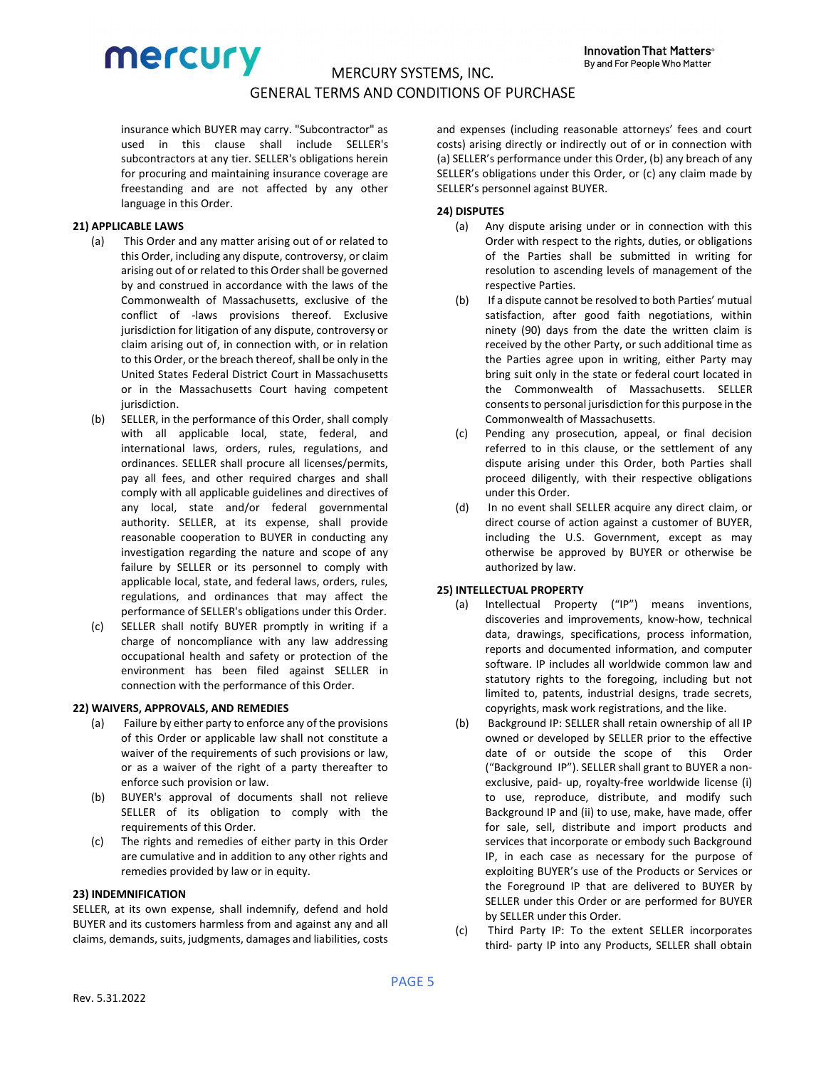

insurance which BUYER may carry. "Subcontractor" as used in this clause shall include SELLER's subcontractors at any tier. SELLER's obligations herein for procuring and maintaining insurance coverage are freestanding and are not affected by any other language in this Order.

## 21) APPLICABLE LAWS

- (a) This Order and any matter arising out of or related to this Order, including any dispute, controversy, or claim arising out of or related to this Order shall be governed by and construed in accordance with the laws of the Commonwealth of Massachusetts, exclusive of the conflict of -laws provisions thereof. Exclusive jurisdiction for litigation of any dispute, controversy or claim arising out of, in connection with, or in relation to this Order, or the breach thereof, shall be only in the United States Federal District Court in Massachusetts or in the Massachusetts Court having competent jurisdiction.
- (b) SELLER, in the performance of this Order, shall comply with all applicable local, state, federal, and international laws, orders, rules, regulations, and ordinances. SELLER shall procure all licenses/permits, pay all fees, and other required charges and shall comply with all applicable guidelines and directives of any local, state and/or federal governmental authority. SELLER, at its expense, shall provide reasonable cooperation to BUYER in conducting any investigation regarding the nature and scope of any failure by SELLER or its personnel to comply with applicable local, state, and federal laws, orders, rules, regulations, and ordinances that may affect the performance of SELLER's obligations under this Order.
- (c) SELLER shall notify BUYER promptly in writing if a charge of noncompliance with any law addressing occupational health and safety or protection of the environment has been filed against SELLER in connection with the performance of this Order.

#### 22) WAIVERS, APPROVALS, AND REMEDIES

- (a) Failure by either party to enforce any of the provisions of this Order or applicable law shall not constitute a waiver of the requirements of such provisions or law, or as a waiver of the right of a party thereafter to enforce such provision or law.
- (b) BUYER's approval of documents shall not relieve SELLER of its obligation to comply with the requirements of this Order.
- (c) The rights and remedies of either party in this Order are cumulative and in addition to any other rights and remedies provided by law or in equity.

#### 23) INDEMNIFICATION

SELLER, at its own expense, shall indemnify, defend and hold BUYER and its customers harmless from and against any and all claims, demands, suits, judgments, damages and liabilities, costs and expenses (including reasonable attorneys' fees and court costs) arising directly or indirectly out of or in connection with (a) SELLER's performance under this Order, (b) any breach of any SELLER's obligations under this Order, or (c) any claim made by SELLER's personnel against BUYER.

## 24) DISPUTES

- (a) Any dispute arising under or in connection with this Order with respect to the rights, duties, or obligations of the Parties shall be submitted in writing for resolution to ascending levels of management of the respective Parties.
- (b) If a dispute cannot be resolved to both Parties' mutual satisfaction, after good faith negotiations, within ninety (90) days from the date the written claim is received by the other Party, or such additional time as the Parties agree upon in writing, either Party may bring suit only in the state or federal court located in the Commonwealth of Massachusetts. SELLER consents to personal jurisdiction for this purpose in the Commonwealth of Massachusetts.
- (c) Pending any prosecution, appeal, or final decision referred to in this clause, or the settlement of any dispute arising under this Order, both Parties shall proceed diligently, with their respective obligations under this Order.
- (d) In no event shall SELLER acquire any direct claim, or direct course of action against a customer of BUYER, including the U.S. Government, except as may otherwise be approved by BUYER or otherwise be authorized by law.

#### 25) INTELLECTUAL PROPERTY

- (a) Intellectual Property ("IP") means inventions, discoveries and improvements, know-how, technical data, drawings, specifications, process information, reports and documented information, and computer software. IP includes all worldwide common law and statutory rights to the foregoing, including but not limited to, patents, industrial designs, trade secrets, copyrights, mask work registrations, and the like.
- (b) Background IP: SELLER shall retain ownership of all IP owned or developed by SELLER prior to the effective date of or outside the scope of this Order ("Background IP"). SELLER shall grant to BUYER a nonexclusive, paid- up, royalty-free worldwide license (i) to use, reproduce, distribute, and modify such Background IP and (ii) to use, make, have made, offer for sale, sell, distribute and import products and services that incorporate or embody such Background IP, in each case as necessary for the purpose of exploiting BUYER's use of the Products or Services or the Foreground IP that are delivered to BUYER by SELLER under this Order or are performed for BUYER by SELLER under this Order.
- (c) Third Party IP: To the extent SELLER incorporates third- party IP into any Products, SELLER shall obtain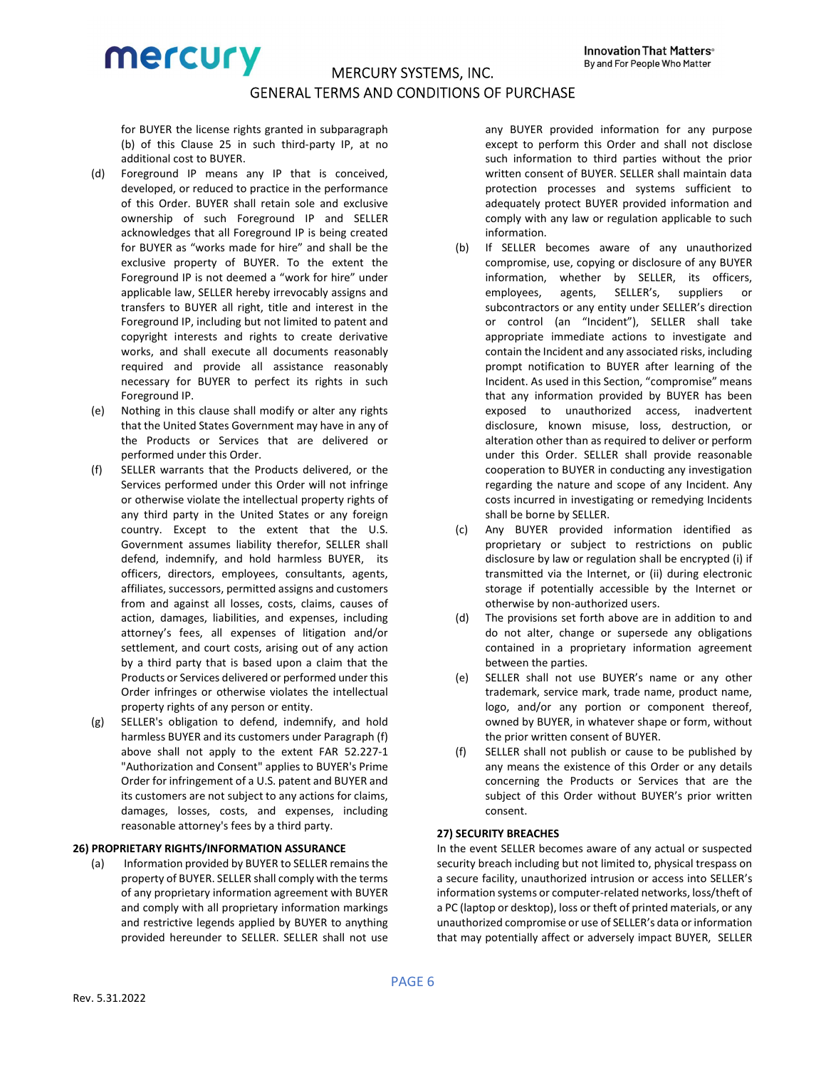for BUYER the license rights granted in subparagraph (b) of this Clause 25 in such third-party IP, at no additional cost to BUYER.

- (d) Foreground IP means any IP that is conceived, developed, or reduced to practice in the performance of this Order. BUYER shall retain sole and exclusive ownership of such Foreground IP and SELLER acknowledges that all Foreground IP is being created for BUYER as "works made for hire" and shall be the exclusive property of BUYER. To the extent the Foreground IP is not deemed a "work for hire" under applicable law, SELLER hereby irrevocably assigns and transfers to BUYER all right, title and interest in the Foreground IP, including but not limited to patent and copyright interests and rights to create derivative works, and shall execute all documents reasonably required and provide all assistance reasonably necessary for BUYER to perfect its rights in such Foreground IP.
- (e) Nothing in this clause shall modify or alter any rights that the United States Government may have in any of the Products or Services that are delivered or performed under this Order.
- (f) SELLER warrants that the Products delivered, or the Services performed under this Order will not infringe or otherwise violate the intellectual property rights of any third party in the United States or any foreign country. Except to the extent that the U.S. Government assumes liability therefor, SELLER shall defend, indemnify, and hold harmless BUYER, its officers, directors, employees, consultants, agents, affiliates, successors, permitted assigns and customers from and against all losses, costs, claims, causes of action, damages, liabilities, and expenses, including attorney's fees, all expenses of litigation and/or settlement, and court costs, arising out of any action by a third party that is based upon a claim that the Products or Services delivered or performed under this Order infringes or otherwise violates the intellectual property rights of any person or entity.
- (g) SELLER's obligation to defend, indemnify, and hold harmless BUYER and its customers under Paragraph (f) above shall not apply to the extent FAR 52.227-1 "Authorization and Consent" applies to BUYER's Prime Order for infringement of a U.S. patent and BUYER and its customers are not subject to any actions for claims, damages, losses, costs, and expenses, including reasonable attorney's fees by a third party.

## 26) PROPRIETARY RIGHTS/INFORMATION ASSURANCE

(a) Information provided by BUYER to SELLER remains the property of BUYER. SELLER shall comply with the terms of any proprietary information agreement with BUYER and comply with all proprietary information markings and restrictive legends applied by BUYER to anything provided hereunder to SELLER. SELLER shall not use any BUYER provided information for any purpose except to perform this Order and shall not disclose such information to third parties without the prior written consent of BUYER. SELLER shall maintain data protection processes and systems sufficient to adequately protect BUYER provided information and comply with any law or regulation applicable to such information.

- (b) If SELLER becomes aware of any unauthorized compromise, use, copying or disclosure of any BUYER information, whether by SELLER, its officers, employees, agents, SELLER's, suppliers or subcontractors or any entity under SELLER's direction or control (an "Incident"), SELLER shall take appropriate immediate actions to investigate and contain the Incident and any associated risks, including prompt notification to BUYER after learning of the Incident. As used in this Section, "compromise" means that any information provided by BUYER has been exposed to unauthorized access, inadvertent disclosure, known misuse, loss, destruction, or alteration other than as required to deliver or perform under this Order. SELLER shall provide reasonable cooperation to BUYER in conducting any investigation regarding the nature and scope of any Incident. Any costs incurred in investigating or remedying Incidents shall be borne by SELLER.
- (c) Any BUYER provided information identified as proprietary or subject to restrictions on public disclosure by law or regulation shall be encrypted (i) if transmitted via the Internet, or (ii) during electronic storage if potentially accessible by the Internet or otherwise by non-authorized users.
- (d) The provisions set forth above are in addition to and do not alter, change or supersede any obligations contained in a proprietary information agreement between the parties.
- (e) SELLER shall not use BUYER's name or any other trademark, service mark, trade name, product name, logo, and/or any portion or component thereof, owned by BUYER, in whatever shape or form, without the prior written consent of BUYER.
- (f) SELLER shall not publish or cause to be published by any means the existence of this Order or any details concerning the Products or Services that are the subject of this Order without BUYER's prior written consent.

# 27) SECURITY BREACHES

In the event SELLER becomes aware of any actual or suspected security breach including but not limited to, physical trespass on a secure facility, unauthorized intrusion or access into SELLER's information systems or computer-related networks, loss/theft of a PC (laptop or desktop), loss or theft of printed materials, or any unauthorized compromise or use of SELLER's data or information that may potentially affect or adversely impact BUYER, SELLER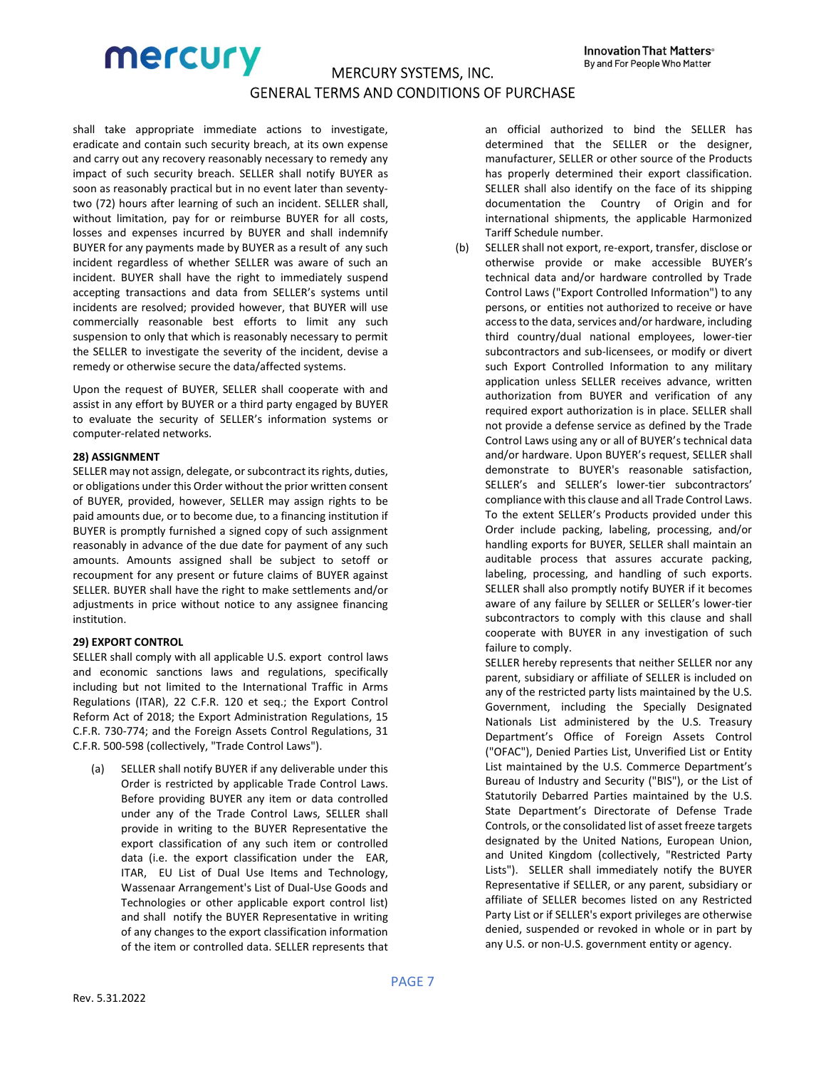shall take appropriate immediate actions to investigate, eradicate and contain such security breach, at its own expense and carry out any recovery reasonably necessary to remedy any impact of such security breach. SELLER shall notify BUYER as soon as reasonably practical but in no event later than seventytwo (72) hours after learning of such an incident. SELLER shall, without limitation, pay for or reimburse BUYER for all costs, losses and expenses incurred by BUYER and shall indemnify BUYER for any payments made by BUYER as a result of any such incident regardless of whether SELLER was aware of such an incident. BUYER shall have the right to immediately suspend accepting transactions and data from SELLER's systems until incidents are resolved; provided however, that BUYER will use commercially reasonable best efforts to limit any such suspension to only that which is reasonably necessary to permit the SELLER to investigate the severity of the incident, devise a remedy or otherwise secure the data/affected systems.

Upon the request of BUYER, SELLER shall cooperate with and assist in any effort by BUYER or a third party engaged by BUYER to evaluate the security of SELLER's information systems or computer-related networks.

## 28) ASSIGNMENT

SELLER may not assign, delegate, or subcontract its rights, duties, or obligations under this Order without the prior written consent of BUYER, provided, however, SELLER may assign rights to be paid amounts due, or to become due, to a financing institution if BUYER is promptly furnished a signed copy of such assignment reasonably in advance of the due date for payment of any such amounts. Amounts assigned shall be subject to setoff or recoupment for any present or future claims of BUYER against SELLER. BUYER shall have the right to make settlements and/or adjustments in price without notice to any assignee financing institution.

# 29) EXPORT CONTROL

SELLER shall comply with all applicable U.S. export control laws and economic sanctions laws and regulations, specifically including but not limited to the International Traffic in Arms Regulations (ITAR), 22 C.F.R. 120 et seq.; the Export Control Reform Act of 2018; the Export Administration Regulations, 15 C.F.R. 730-774; and the Foreign Assets Control Regulations, 31 C.F.R. 500-598 (collectively, "Trade Control Laws").

(a) SELLER shall notify BUYER if any deliverable under this Order is restricted by applicable Trade Control Laws. Before providing BUYER any item or data controlled under any of the Trade Control Laws, SELLER shall provide in writing to the BUYER Representative the export classification of any such item or controlled data (i.e. the export classification under the EAR, ITAR, EU List of Dual Use Items and Technology, Wassenaar Arrangement's List of Dual-Use Goods and Technologies or other applicable export control list) and shall notify the BUYER Representative in writing of any changes to the export classification information of the item or controlled data. SELLER represents that an official authorized to bind the SELLER has determined that the SELLER or the designer, manufacturer, SELLER or other source of the Products has properly determined their export classification. SELLER shall also identify on the face of its shipping documentation the Country of Origin and for international shipments, the applicable Harmonized Tariff Schedule number.

(b) SELLER shall not export, re-export, transfer, disclose or otherwise provide or make accessible BUYER's technical data and/or hardware controlled by Trade Control Laws ("Export Controlled Information") to any persons, or entities not authorized to receive or have access to the data, services and/or hardware, including third country/dual national employees, lower-tier subcontractors and sub-licensees, or modify or divert such Export Controlled Information to any military application unless SELLER receives advance, written authorization from BUYER and verification of any required export authorization is in place. SELLER shall not provide a defense service as defined by the Trade Control Laws using any or all of BUYER's technical data and/or hardware. Upon BUYER's request, SELLER shall demonstrate to BUYER's reasonable satisfaction, SELLER's and SELLER's lower-tier subcontractors' compliance with this clause and all Trade Control Laws. To the extent SELLER's Products provided under this Order include packing, labeling, processing, and/or handling exports for BUYER, SELLER shall maintain an auditable process that assures accurate packing, labeling, processing, and handling of such exports. SELLER shall also promptly notify BUYER if it becomes aware of any failure by SELLER or SELLER's lower-tier subcontractors to comply with this clause and shall cooperate with BUYER in any investigation of such failure to comply.

SELLER hereby represents that neither SELLER nor any parent, subsidiary or affiliate of SELLER is included on any of the restricted party lists maintained by the U.S. Government, including the Specially Designated Nationals List administered by the U.S. Treasury Department's Office of Foreign Assets Control ("OFAC"), Denied Parties List, Unverified List or Entity List maintained by the U.S. Commerce Department's Bureau of Industry and Security ("BIS"), or the List of Statutorily Debarred Parties maintained by the U.S. State Department's Directorate of Defense Trade Controls, or the consolidated list of asset freeze targets designated by the United Nations, European Union, and United Kingdom (collectively, "Restricted Party Lists"). SELLER shall immediately notify the BUYER Representative if SELLER, or any parent, subsidiary or affiliate of SELLER becomes listed on any Restricted Party List or if SELLER's export privileges are otherwise denied, suspended or revoked in whole or in part by any U.S. or non-U.S. government entity or agency.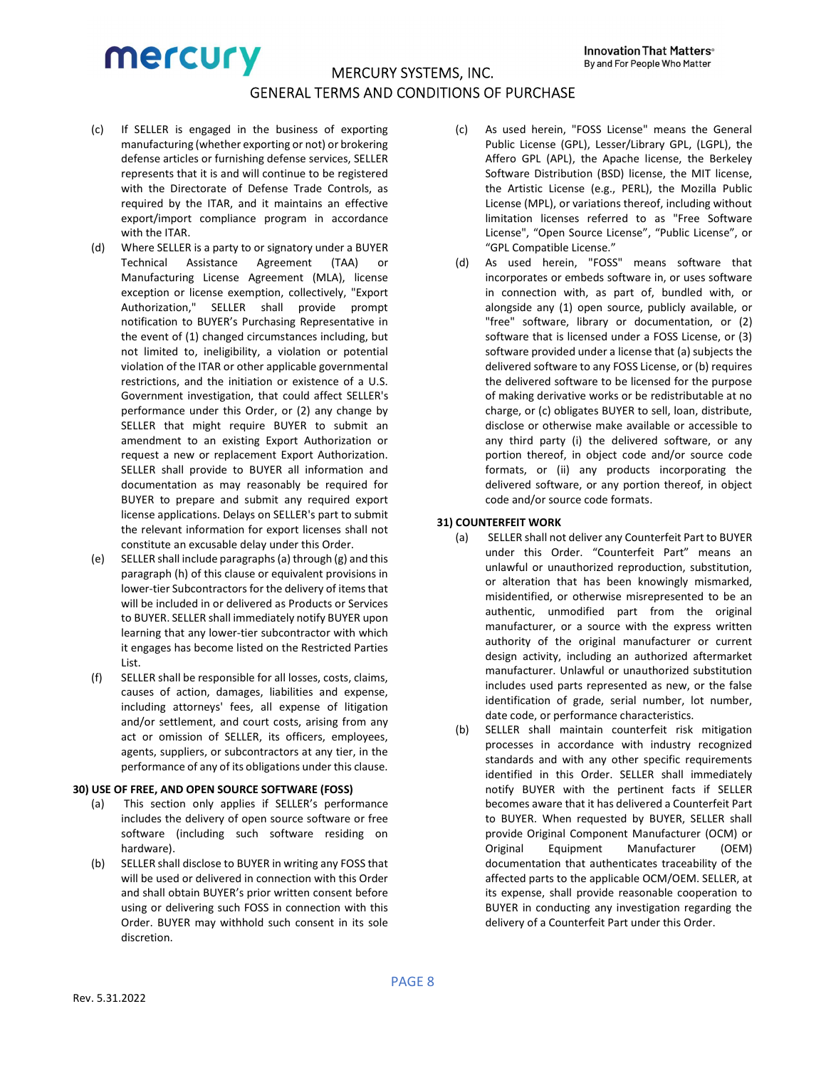- (c) If SELLER is engaged in the business of exporting manufacturing (whether exporting or not) or brokering defense articles or furnishing defense services, SELLER represents that it is and will continue to be registered with the Directorate of Defense Trade Controls, as required by the ITAR, and it maintains an effective export/import compliance program in accordance with the **ITAR**
- (d) Where SELLER is a party to or signatory under a BUYER Technical Assistance Agreement (TAA) or Manufacturing License Agreement (MLA), license exception or license exemption, collectively, "Export Authorization," SELLER shall provide prompt notification to BUYER's Purchasing Representative in the event of (1) changed circumstances including, but not limited to, ineligibility, a violation or potential violation of the ITAR or other applicable governmental restrictions, and the initiation or existence of a U.S. Government investigation, that could affect SELLER's performance under this Order, or (2) any change by SELLER that might require BUYER to submit an amendment to an existing Export Authorization or request a new or replacement Export Authorization. SELLER shall provide to BUYER all information and documentation as may reasonably be required for BUYER to prepare and submit any required export license applications. Delays on SELLER's part to submit the relevant information for export licenses shall not constitute an excusable delay under this Order.
- (e) SELLER shall include paragraphs (a) through (g) and this paragraph (h) of this clause or equivalent provisions in lower-tier Subcontractors for the delivery of items that will be included in or delivered as Products or Services to BUYER. SELLER shall immediately notify BUYER upon learning that any lower-tier subcontractor with which it engages has become listed on the Restricted Parties List.
- (f) SELLER shall be responsible for all losses, costs, claims, causes of action, damages, liabilities and expense, including attorneys' fees, all expense of litigation and/or settlement, and court costs, arising from any act or omission of SELLER, its officers, employees, agents, suppliers, or subcontractors at any tier, in the performance of any of its obligations under this clause.

#### 30) USE OF FREE, AND OPEN SOURCE SOFTWARE (FOSS)

- (a) This section only applies if SELLER's performance includes the delivery of open source software or free software (including such software residing on hardware).
- (b) SELLER shall disclose to BUYER in writing any FOSS that will be used or delivered in connection with this Order and shall obtain BUYER's prior written consent before using or delivering such FOSS in connection with this Order. BUYER may withhold such consent in its sole discretion.
- (c) As used herein, "FOSS License" means the General Public License (GPL), Lesser/Library GPL, (LGPL), the Affero GPL (APL), the Apache license, the Berkeley Software Distribution (BSD) license, the MIT license, the Artistic License (e.g., PERL), the Mozilla Public License (MPL), or variations thereof, including without limitation licenses referred to as "Free Software License", "Open Source License", "Public License", or "GPL Compatible License."
- (d) As used herein, "FOSS" means software that incorporates or embeds software in, or uses software in connection with, as part of, bundled with, or alongside any (1) open source, publicly available, or "free" software, library or documentation, or (2) software that is licensed under a FOSS License, or (3) software provided under a license that (a) subjects the delivered software to any FOSS License, or (b) requires the delivered software to be licensed for the purpose of making derivative works or be redistributable at no charge, or (c) obligates BUYER to sell, loan, distribute, disclose or otherwise make available or accessible to any third party (i) the delivered software, or any portion thereof, in object code and/or source code formats, or (ii) any products incorporating the delivered software, or any portion thereof, in object code and/or source code formats.

# 31) COUNTERFEIT WORK

- (a) SELLER shall not deliver any Counterfeit Part to BUYER under this Order. "Counterfeit Part" means an unlawful or unauthorized reproduction, substitution, or alteration that has been knowingly mismarked, misidentified, or otherwise misrepresented to be an authentic, unmodified part from the original manufacturer, or a source with the express written authority of the original manufacturer or current design activity, including an authorized aftermarket manufacturer. Unlawful or unauthorized substitution includes used parts represented as new, or the false identification of grade, serial number, lot number, date code, or performance characteristics.
- (b) SELLER shall maintain counterfeit risk mitigation processes in accordance with industry recognized standards and with any other specific requirements identified in this Order. SELLER shall immediately notify BUYER with the pertinent facts if SELLER becomes aware that it has delivered a Counterfeit Part to BUYER. When requested by BUYER, SELLER shall provide Original Component Manufacturer (OCM) or Original Equipment Manufacturer (OEM) documentation that authenticates traceability of the affected parts to the applicable OCM/OEM. SELLER, at its expense, shall provide reasonable cooperation to BUYER in conducting any investigation regarding the delivery of a Counterfeit Part under this Order.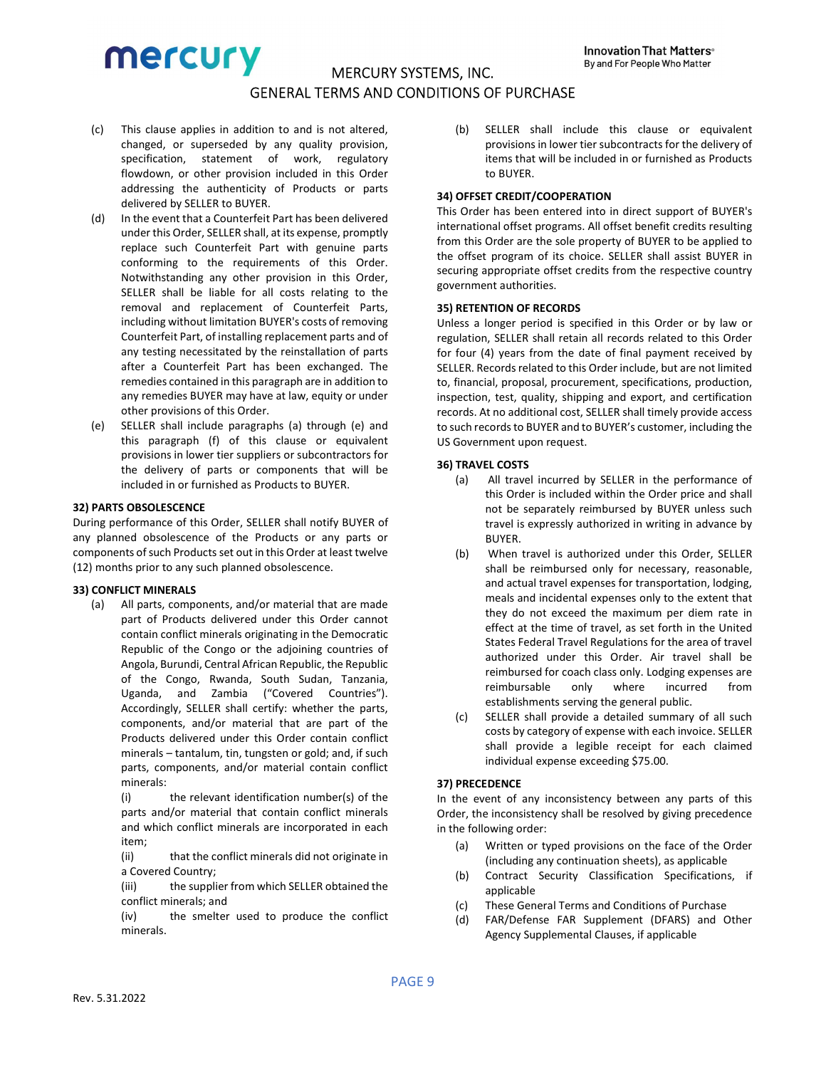- (c) This clause applies in addition to and is not altered, changed, or superseded by any quality provision, specification, statement of work, regulatory flowdown, or other provision included in this Order addressing the authenticity of Products or parts delivered by SELLER to BUYER.
- (d) In the event that a Counterfeit Part has been delivered under this Order, SELLER shall, at its expense, promptly replace such Counterfeit Part with genuine parts conforming to the requirements of this Order. Notwithstanding any other provision in this Order, SELLER shall be liable for all costs relating to the removal and replacement of Counterfeit Parts, including without limitation BUYER's costs of removing Counterfeit Part, of installing replacement parts and of any testing necessitated by the reinstallation of parts after a Counterfeit Part has been exchanged. The remedies contained in this paragraph are in addition to any remedies BUYER may have at law, equity or under other provisions of this Order.
- (e) SELLER shall include paragraphs (a) through (e) and this paragraph (f) of this clause or equivalent provisions in lower tier suppliers or subcontractors for the delivery of parts or components that will be included in or furnished as Products to BUYER.

#### 32) PARTS OBSOLESCENCE

During performance of this Order, SELLER shall notify BUYER of any planned obsolescence of the Products or any parts or components of such Products set out in this Order at least twelve (12) months prior to any such planned obsolescence.

#### 33) CONFLICT MINERALS

(a) All parts, components, and/or material that are made part of Products delivered under this Order cannot contain conflict minerals originating in the Democratic Republic of the Congo or the adjoining countries of Angola, Burundi, Central African Republic, the Republic of the Congo, Rwanda, South Sudan, Tanzania, Uganda, and Zambia ("Covered Countries"). Accordingly, SELLER shall certify: whether the parts, components, and/or material that are part of the Products delivered under this Order contain conflict minerals – tantalum, tin, tungsten or gold; and, if such parts, components, and/or material contain conflict minerals:

(i) the relevant identification number(s) of the parts and/or material that contain conflict minerals and which conflict minerals are incorporated in each item;

(ii) that the conflict minerals did not originate in a Covered Country;

(iii) the supplier from which SELLER obtained the conflict minerals; and

(iv) the smelter used to produce the conflict minerals.

(b) SELLER shall include this clause or equivalent provisions in lower tier subcontracts for the delivery of items that will be included in or furnished as Products to BUYER.

#### 34) OFFSET CREDIT/COOPERATION

This Order has been entered into in direct support of BUYER's international offset programs. All offset benefit credits resulting from this Order are the sole property of BUYER to be applied to the offset program of its choice. SELLER shall assist BUYER in securing appropriate offset credits from the respective country government authorities.

#### 35) RETENTION OF RECORDS

Unless a longer period is specified in this Order or by law or regulation, SELLER shall retain all records related to this Order for four (4) years from the date of final payment received by SELLER. Records related to this Order include, but are not limited to, financial, proposal, procurement, specifications, production, inspection, test, quality, shipping and export, and certification records. At no additional cost, SELLER shall timely provide access to such records to BUYER and to BUYER's customer, including the US Government upon request.

#### 36) TRAVEL COSTS

- (a) All travel incurred by SELLER in the performance of this Order is included within the Order price and shall not be separately reimbursed by BUYER unless such travel is expressly authorized in writing in advance by **BUYER**
- (b) When travel is authorized under this Order, SELLER shall be reimbursed only for necessary, reasonable, and actual travel expenses for transportation, lodging, meals and incidental expenses only to the extent that they do not exceed the maximum per diem rate in effect at the time of travel, as set forth in the United States Federal Travel Regulations for the area of travel authorized under this Order. Air travel shall be reimbursed for coach class only. Lodging expenses are reimbursable only where incurred from establishments serving the general public.
- (c) SELLER shall provide a detailed summary of all such costs by category of expense with each invoice. SELLER shall provide a legible receipt for each claimed individual expense exceeding \$75.00.

#### 37) PRECEDENCE

In the event of any inconsistency between any parts of this Order, the inconsistency shall be resolved by giving precedence in the following order:

- (a) Written or typed provisions on the face of the Order (including any continuation sheets), as applicable
- (b) Contract Security Classification Specifications, if applicable
- (c) These General Terms and Conditions of Purchase
- (d) FAR/Defense FAR Supplement (DFARS) and Other Agency Supplemental Clauses, if applicable